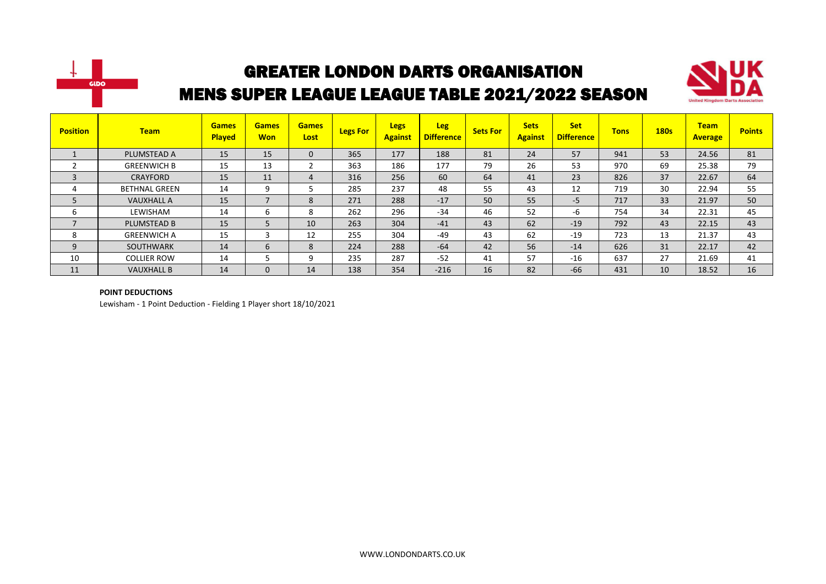



| <b>Position</b> | <b>Team</b>          | <b>Games</b><br><b>Played</b> | <b>Games</b><br><b>Won</b> | <b>Games</b><br>Lost | <b>Legs For</b> | <b>Legs</b><br><b>Against</b> | <b>Leg</b><br><b>Difference</b> | <b>Sets For</b> | <b>Sets</b><br><b>Against</b> | <b>Set</b><br><b>Difference</b> | <b>Tons</b> | 180s | <b>Team</b><br><b>Average</b> | <b>Points</b> |
|-----------------|----------------------|-------------------------------|----------------------------|----------------------|-----------------|-------------------------------|---------------------------------|-----------------|-------------------------------|---------------------------------|-------------|------|-------------------------------|---------------|
|                 | PLUMSTEAD A          | 15                            | 15                         | 0                    | 365             | 177                           | 188                             | 81              | 24                            | 57                              | 941         | 53   | 24.56                         | 81            |
|                 | <b>GREENWICH B</b>   | 15                            | 13                         |                      | 363             | 186                           | 177                             | 79              | 26                            | 53                              | 970         | 69   | 25.38                         | 79            |
| 3               | CRAYFORD             | 15                            | 11                         | 4                    | 316             | 256                           | 60                              | 64              | 41                            | 23                              | 826         | 37   | 22.67                         | 64            |
| 4               | <b>BETHNAL GREEN</b> | 14                            | 9                          |                      | 285             | 237                           | 48                              | 55              | 43                            | 12                              | 719         | 30   | 22.94                         | 55            |
| 5               | <b>VAUXHALL A</b>    | 15                            | $\overline{ }$             | 8                    | 271             | 288                           | $-17$                           | 50              | 55                            | $-5$                            | 717         | 33   | 21.97                         | 50            |
| ь               | LEWISHAM             | 14                            | 6                          | 8                    | 262             | 296                           | $-34$                           | 46              | 52                            | -6                              | 754         | 34   | 22.31                         | 45            |
| 7               | PLUMSTEAD B          | 15                            | 5                          | 10                   | 263             | 304                           | $-41$                           | 43              | 62                            | $-19$                           | 792         | 43   | 22.15                         | 43            |
| 8               | <b>GREENWICH A</b>   | 15                            | 3                          | 12                   | 255             | 304                           | $-49$                           | 43              | 62                            | $-19$                           | 723         | 13   | 21.37                         | 43            |
| 9               | <b>SOUTHWARK</b>     | 14                            | 6                          | 8                    | 224             | 288                           | $-64$                           | 42              | 56                            | $-14$                           | 626         | 31   | 22.17                         | 42            |
| 10              | <b>COLLIER ROW</b>   | 14                            |                            | 9                    | 235             | 287                           | $-52$                           | 41              | 57                            | $-16$                           | 637         | 27   | 21.69                         | 41            |
| 11              | <b>VAUXHALL B</b>    | 14                            | $\mathbf 0$                | 14                   | 138             | 354                           | $-216$                          | 16              | 82                            | $-66$                           | 431         | 10   | 18.52                         | 16            |

#### **POINT DEDUCTIONS**

Lewisham - 1 Point Deduction - Fielding 1 Player short 18/10/2021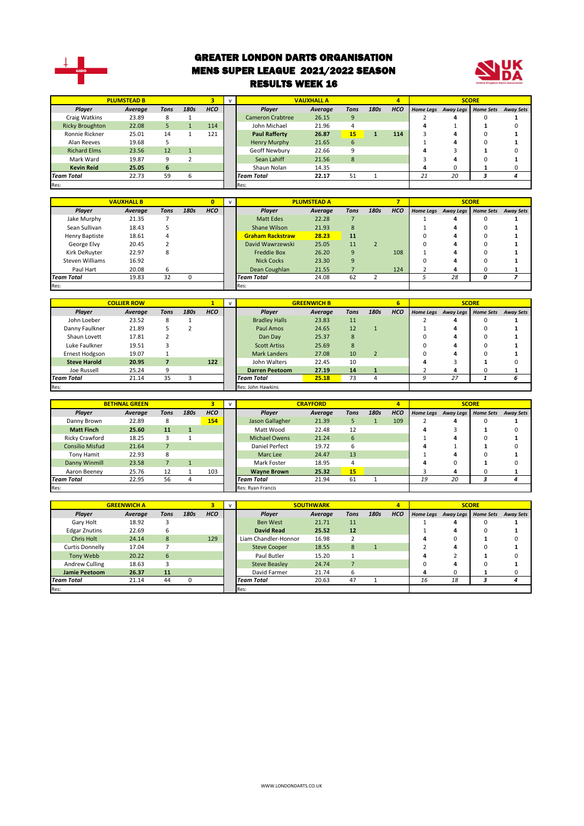

#### GREATER LONDON DARTS ORGANISATION MENS SUPER LEAGUE 2021/2022 SEASON RESULTS WEEK 16



|                        | <b>PLUMSTEAD B</b> |      |      |            |                                     | <b>VAUXHALL A</b> |              |      | 4          |              |                     | <b>SCORE</b>     |                  |
|------------------------|--------------------|------|------|------------|-------------------------------------|-------------------|--------------|------|------------|--------------|---------------------|------------------|------------------|
| Player                 | Average            | Tons | 180s | <b>HCO</b> | <b>Plaver</b>                       | Average           | Tons         | 180s | <b>HCO</b> |              | Home Legs Away Legs | <b>Home Sets</b> | <b>Away Sets</b> |
| Craig Watkins          | 23.89              | 8    |      |            | <b>Cameron Crabtree</b>             | 26.15             | 9            |      |            |              | 4                   |                  |                  |
| <b>Ricky Broughton</b> | 22.08              | 5.   |      | 114        | John Michael                        | 21.96             | 4            |      |            |              |                     |                  |                  |
| Ronnie Rickner         | 25.01              | 14   |      | 121        | <b>Paul Rafferty</b><br>26.87<br>15 |                   |              | 114  |            |              |                     |                  |                  |
| Alan Reeves            | 19.68              |      |      |            | Henry Murphy                        | 21.65             | 6            |      |            |              |                     |                  |                  |
| <b>Richard Elms</b>    | 23.56              | 12   |      |            | Geoff Newbury                       | 22.66             |              |      |            |              |                     |                  |                  |
| Mark Ward              | 19.87              | 9    |      |            | Sean Lahiff                         | 21.56             | $\mathbf{8}$ |      |            |              |                     |                  |                  |
| <b>Kevin Reid</b>      | 25.05              | 6    |      |            | Shaun Nolan                         | 14.35             |              |      |            | $\mathbf{u}$ |                     |                  |                  |
| <b>Team Total</b>      | 22.73              | 59   | b    |            | 22.17<br><b>Team Total</b>          |                   | 51           |      |            | 21           | 20                  |                  |                  |
| Res:                   |                    |      |      |            | Res:                                |                   |              |      |            |              |                     |                  |                  |

|                   | <b>VAUXHALL B</b> |      |      |            | $\mathbf{v}$ |                         | <b>PLUMSTEAD A</b> |      |      |            |                  |   | <b>SCORE</b>        |                  |
|-------------------|-------------------|------|------|------------|--------------|-------------------------|--------------------|------|------|------------|------------------|---|---------------------|------------------|
| Player            | Average           | Tons | 180s | <b>HCO</b> |              | Player                  | Average            | Tons | 180s | <b>HCO</b> | <b>Home Legs</b> |   | Away Legs Home Sets | <b>Away Sets</b> |
| Jake Murphy       | 21.35             |      |      |            |              | Matt Edes               | 22.28              |      |      |            |                  |   |                     |                  |
| Sean Sullivan     | 18.43             |      |      |            |              | Shane Wilson            | 21.93              | 8    |      |            |                  |   |                     |                  |
| Henry Baptiste    | 18.61             | 4    |      |            |              | <b>Graham Rackstraw</b> | 11                 |      |      |            |                  |   |                     |                  |
| George Elvy       | 20.45             |      |      |            |              | David Wawrzewski        | 28.23<br>25.05     |      |      |            |                  |   |                     |                  |
| Kirk DeRuvter     | 22.97             | 8    |      |            |              | <b>Freddie Box</b>      | 26.20              | 9    |      | 108        |                  |   |                     |                  |
| Steven Williams   | 16.92             |      |      |            |              | <b>Nick Cocks</b>       | 23.30              | 9    |      |            |                  |   |                     |                  |
| Paul Hart         | 20.08             | 6    |      |            |              | Dean Coughlan           | 21.55              |      |      | 124        |                  |   |                     |                  |
| <b>Team Total</b> | 19.83             | 32   |      |            |              | <b>Team Total</b>       | 62                 |      |      |            | 28               | Ω |                     |                  |
| Res:              |                   |      |      |            |              | Res:                    |                    |      |      |            |                  |   |                     |                  |

|                     | <b>COLLIER ROW</b> |      |      |            | $\mathbf{v}$ |                       | <b>GREENWICH B</b> |      |                | 6          |                     | <b>SCORE</b>     |                  |
|---------------------|--------------------|------|------|------------|--------------|-----------------------|--------------------|------|----------------|------------|---------------------|------------------|------------------|
| <b>Player</b>       | Average            | Tons | 180s | <b>HCO</b> |              | <b>Plaver</b>         | Average            | Tons | 180s           | <b>HCO</b> | Home Legs Away Legs | <b>Home Sets</b> | <b>Away Sets</b> |
| John Loeber         | 23.52              | 8    |      |            |              | <b>Bradley Halls</b>  | 23.83              | 11   |                |            | д                   | 0                |                  |
| Danny Faulkner      | 21.89              |      |      |            |              | Paul Amos             | 24.65              | 12   |                |            | 4                   | 0                |                  |
| Shaun Lovett        | 17.81              |      |      |            |              | Dan Day               | 25.37              | 8    |                |            | 4                   |                  |                  |
| Luke Faulkner       | 19.51              |      |      |            |              | <b>Scott Artiss</b>   | 25.69              | 8    |                |            | 4                   |                  |                  |
| Ernest Hodgson      | 19.07              |      |      |            |              | <b>Mark Landers</b>   | 27.08              | 10   | $\overline{2}$ |            | 4                   |                  |                  |
| <b>Steve Harold</b> | 20.95              |      |      | 122        |              | John Walters          | 22.45              | 10   |                |            |                     |                  |                  |
| Joe Russell         | 25.24              | 9    |      |            |              | <b>Darren Peetoom</b> | 27.19              | 14   |                |            |                     |                  |                  |
| <b>Team Total</b>   | 21.14              | 35   |      |            |              | <b>Team Total</b>     | 25.18              | 73   |                |            | 27                  |                  |                  |
| Res:                |                    |      |      |            |              | Res: John Hawkins     |                    |      |                |            |                     |                  |                  |

|                        | <b>BETHNAL GREEN</b> |      |      |            |                   |                         | <b>CRAYFORD</b> |      |      | 4          |    |                     | <b>SCORE</b>     |                  |
|------------------------|----------------------|------|------|------------|-------------------|-------------------------|-----------------|------|------|------------|----|---------------------|------------------|------------------|
| Player                 | Average              | Tons | 180s | <b>HCO</b> |                   | Player                  | Average         | Tons | 180s | <b>HCO</b> |    | Home Legs Away Legs | <b>Home Sets</b> | <b>Away Sets</b> |
| Danny Brown            | 22.89                | 8    |      | 154        |                   | Jason Gallagher         | 21.39           |      |      | 109        |    | д                   |                  |                  |
| <b>Matt Finch</b>      | 25.60                | 11   |      |            |                   | Matt Wood               | 22.48           | 12   |      |            |    |                     |                  |                  |
| Ricky Crawford         | 18.25                |      |      |            |                   | <b>Michael Owens</b>    | 21.24           | 6    |      |            |    |                     |                  |                  |
| <b>Consilio Misfud</b> | 21.64                |      |      |            |                   | Daniel Perfect<br>19.72 |                 | b    |      |            |    |                     |                  |                  |
| Tony Hamit             | 22.93                | 8    |      |            |                   | Marc Lee                | 24.47           | 13   |      |            |    | д                   |                  |                  |
| Danny Winmill          | 23.58                |      |      |            |                   | Mark Foster             | 18.95           |      |      |            |    |                     |                  |                  |
| Aaron Beeney           | 25.76                | 12   |      | 103        |                   | <b>Wayne Brown</b>      | 25.32           | 15   |      |            |    | 4                   |                  |                  |
| <b>Team Total</b>      | 22.95<br>56          |      |      |            | <b>Team Total</b> | 21.94                   | 61              |      |      | 19         | 20 |                     |                  |                  |
| Res:                   |                      |      |      |            |                   | Res: Ryan Francis       |                 |      |      |            |    |                     |                  |                  |

|                      | <b>GREENWICH A</b> |      |      |            | $\mathbf{v}$ |                               | <b>SOUTHWARK</b> |      |      | $\overline{a}$ |    |                     | <b>SCORE</b>     |                  |
|----------------------|--------------------|------|------|------------|--------------|-------------------------------|------------------|------|------|----------------|----|---------------------|------------------|------------------|
| Player               | Average            | Tons | 180s | <b>HCO</b> |              | Player                        | Average          | Tons | 180s | <b>HCO</b>     |    | Home Legs Away Legs | <b>Home Sets</b> | <b>Away Sets</b> |
| Gary Holt            | 18.92              |      |      |            |              | <b>Ben West</b>               | 21.71            | 11   |      |                |    | д                   |                  |                  |
| <b>Edgar Znutins</b> | 22.69              | 6    |      |            |              | <b>David Read</b>             | 25.52            | 12   |      |                |    | 4                   |                  |                  |
| <b>Chris Holt</b>    | 24.14              | 8    |      | 129        |              | 16.98<br>Liam Chandler-Honnor |                  |      |      |                |    |                     |                  |                  |
| Curtis Donnelly      | 17.04              |      |      |            |              | <b>Steve Cooper</b>           | 18.55            | 8    |      |                |    |                     |                  |                  |
| Tony Webb            | 20.22              | 6    |      |            |              | Paul Butler                   | 15.20            |      |      |                |    |                     |                  |                  |
| Andrew Culling       | 18.63              |      |      |            |              | <b>Steve Beasley</b>          | 24.74            |      |      |                |    |                     |                  |                  |
| <b>Jamie Peetoom</b> | 26.37              | 11   |      |            |              | David Farmer<br>21.74         |                  | 6    |      |                | 4  |                     |                  |                  |
| <b>Team Total</b>    | 21.14              | 44   |      |            |              | 20.63<br><b>Team Total</b>    |                  | 47   |      |                | 16 | 18                  |                  |                  |
| Res:                 |                    |      |      |            | Res:         |                               |                  |      |      |                |    |                     |                  |                  |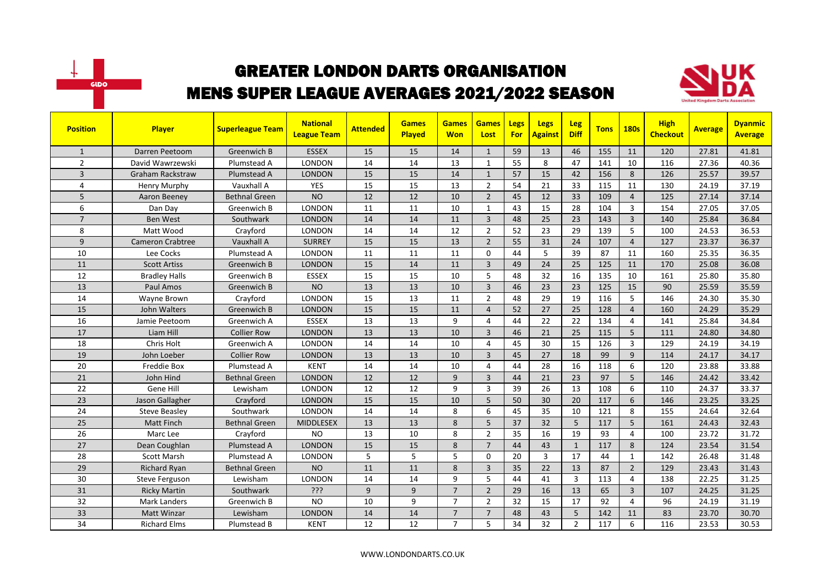



| <b>Position</b> | <b>Player</b>           | <b>Superleague Team</b> | <b>National</b><br><b>League Team</b> | <b>Attended</b> | <b>Games</b><br>Played | <b>Games</b><br><b>Won</b> | <b>Games</b><br>Lost | Legs<br><b>For</b> | Legs<br><b>Against</b> | Leg<br><b>Diff</b> | <b>Tons</b> | <b>180s</b>    | <b>High</b><br><b>Checkout</b> | <b>Average</b> | <b>Dyanmic</b><br><b>Average</b> |
|-----------------|-------------------------|-------------------------|---------------------------------------|-----------------|------------------------|----------------------------|----------------------|--------------------|------------------------|--------------------|-------------|----------------|--------------------------------|----------------|----------------------------------|
| $\mathbf{1}$    | Darren Peetoom          | Greenwich B             | <b>ESSEX</b>                          | 15              | 15                     | 14                         | $\mathbf{1}$         | 59                 | 13                     | 46                 | 155         | 11             | 120                            | 27.81          | 41.81                            |
| $\overline{2}$  | David Wawrzewski        | Plumstead A             | <b>LONDON</b>                         | 14              | 14                     | 13                         | 1                    | 55                 | 8                      | 47                 | 141         | 10             | 116                            | 27.36          | 40.36                            |
| 3               | <b>Graham Rackstraw</b> | Plumstead A             | <b>LONDON</b>                         | 15              | 15                     | 14                         | $\mathbf{1}$         | 57                 | 15                     | 42                 | 156         | 8              | 126                            | 25.57          | 39.57                            |
| 4               | Henry Murphy            | Vauxhall A              | <b>YES</b>                            | 15              | 15                     | 13                         | $\overline{2}$       | 54                 | 21                     | 33                 | 115         | 11             | 130                            | 24.19          | 37.19                            |
| 5               | Aaron Beeney            | Bethnal Green           | <b>NO</b>                             | 12              | 12                     | 10                         | $\overline{2}$       | 45                 | 12                     | 33                 | 109         | $\overline{4}$ | 125                            | 27.14          | 37.14                            |
| 6               | Dan Day                 | Greenwich B             | <b>LONDON</b>                         | 11              | 11                     | 10                         | $\mathbf{1}$         | 43                 | 15                     | 28                 | 104         | 3              | 154                            | 27.05          | 37.05                            |
| $\overline{7}$  | <b>Ben West</b>         | Southwark               | <b>LONDON</b>                         | 14              | 14                     | 11                         | $\overline{3}$       | 48                 | 25                     | 23                 | 143         | $\overline{3}$ | 140                            | 25.84          | 36.84                            |
| 8               | Matt Wood               | Crayford                | <b>LONDON</b>                         | 14              | 14                     | 12                         | $\overline{2}$       | 52                 | 23                     | 29                 | 139         | 5              | 100                            | 24.53          | 36.53                            |
| 9               | <b>Cameron Crabtree</b> | Vauxhall A              | <b>SURREY</b>                         | 15              | 15                     | 13                         | $\overline{2}$       | 55                 | 31                     | 24                 | 107         | $\overline{4}$ | 127                            | 23.37          | 36.37                            |
| 10              | Lee Cocks               | Plumstead A             | LONDON                                | 11              | 11                     | 11                         | $\Omega$             | 44                 | 5                      | 39                 | 87          | 11             | 160                            | 25.35          | 36.35                            |
| 11              | <b>Scott Artiss</b>     | Greenwich B             | <b>LONDON</b>                         | 15              | 14                     | 11                         | $\overline{3}$       | 49                 | 24                     | 25                 | 125         | 11             | 170                            | 25.08          | 36.08                            |
| 12              | <b>Bradley Halls</b>    | Greenwich B             | <b>ESSEX</b>                          | 15              | 15                     | 10                         | 5                    | 48                 | 32                     | 16                 | 135         | 10             | 161                            | 25.80          | 35.80                            |
| 13              | Paul Amos               | Greenwich B             | <b>NO</b>                             | 13              | 13                     | 10                         | $\overline{3}$       | 46                 | 23                     | 23                 | 125         | 15             | 90                             | 25.59          | 35.59                            |
| 14              | Wayne Brown             | Crayford                | LONDON                                | 15              | 13                     | 11                         | $\overline{2}$       | 48                 | 29                     | 19                 | 116         | 5              | 146                            | 24.30          | 35.30                            |
| 15              | John Walters            | Greenwich B             | <b>LONDON</b>                         | 15              | $\overline{15}$        | 11                         | $\overline{4}$       | 52                 | 27                     | 25                 | 128         | $\overline{4}$ | 160                            | 24.29          | 35.29                            |
| 16              | Jamie Peetoom           | Greenwich A             | <b>ESSEX</b>                          | 13              | 13                     | 9                          | $\overline{4}$       | 44                 | 22                     | 22                 | 134         | $\overline{4}$ | 141                            | 25.84          | 34.84                            |
| 17              | Liam Hill               | <b>Collier Row</b>      | <b>LONDON</b>                         | 13              | 13                     | 10                         | $\overline{3}$       | 46                 | 21                     | 25                 | 115         | 5              | 111                            | 24.80          | 34.80                            |
| 18              | Chris Holt              | Greenwich A             | LONDON                                | 14              | 14                     | 10                         | 4                    | 45                 | 30                     | 15                 | 126         | 3              | 129                            | 24.19          | 34.19                            |
| 19              | John Loeber             | Collier Row             | <b>LONDON</b>                         | 13              | 13                     | 10                         | $\overline{3}$       | 45                 | 27                     | 18                 | 99          | $\overline{9}$ | 114                            | 24.17          | 34.17                            |
| 20              | Freddie Box             | Plumstead A             | <b>KENT</b>                           | 14              | 14                     | 10                         | $\overline{4}$       | 44                 | 28                     | 16                 | 118         | 6              | 120                            | 23.88          | 33.88                            |
| 21              | John Hind               | <b>Bethnal Green</b>    | <b>LONDON</b>                         | 12              | 12                     | 9                          | $\overline{3}$       | 44                 | 21                     | 23                 | 97          | 5              | 146                            | 24.42          | 33.42                            |
| 22              | Gene Hill               | Lewisham                | <b>LONDON</b>                         | 12              | 12                     | 9                          | 3                    | 39                 | 26                     | 13                 | 108         | 6              | 110                            | 24.37          | 33.37                            |
| 23              | Jason Gallagher         | Crayford                | <b>LONDON</b>                         | 15              | 15                     | 10                         | 5                    | 50                 | 30                     | 20                 | 117         | 6              | 146                            | 23.25          | 33.25                            |
| 24              | <b>Steve Beasley</b>    | Southwark               | <b>LONDON</b>                         | 14              | 14                     | 8                          | 6                    | 45                 | 35                     | 10                 | 121         | 8              | 155                            | 24.64          | 32.64                            |
| 25              | Matt Finch              | <b>Bethnal Green</b>    | <b>MIDDLESEX</b>                      | 13              | 13                     | 8                          | 5                    | 37                 | 32                     | 5                  | 117         | 5              | 161                            | 24.43          | 32.43                            |
| 26              | Marc Lee                | Crayford                | <b>NO</b>                             | 13              | 10                     | 8                          | $\overline{2}$       | 35                 | 16                     | 19                 | 93          | 4              | 100                            | 23.72          | 31.72                            |
| 27              | Dean Coughlan           | Plumstead A             | <b>LONDON</b>                         | 15              | 15                     | 8                          | $\overline{7}$       | 44                 | 43                     | $\mathbf{1}$       | 117         | 8              | 124                            | 23.54          | 31.54                            |
| 28              | Scott Marsh             | Plumstead A             | LONDON                                | 5               | 5                      | 5                          | $\Omega$             | 20                 | $\overline{3}$         | 17                 | 44          | $\mathbf{1}$   | 142                            | 26.48          | 31.48                            |
| 29              | Richard Ryan            | <b>Bethnal Green</b>    | <b>NO</b>                             | 11              | 11                     | 8                          | $\overline{3}$       | 35                 | 22                     | 13                 | 87          | $\overline{2}$ | 129                            | 23.43          | 31.43                            |
| 30              | <b>Steve Ferguson</b>   | Lewisham                | <b>LONDON</b>                         | 14              | 14                     | 9                          | 5                    | 44                 | 41                     | $\overline{3}$     | 113         | 4              | 138                            | 22.25          | 31.25                            |
| 31              | <b>Ricky Martin</b>     | Southwark               | ???                                   | 9               | 9                      | $\overline{7}$             | $\overline{2}$       | 29                 | 16                     | 13                 | 65          | $\overline{3}$ | 107                            | 24.25          | 31.25                            |
| 32              | <b>Mark Landers</b>     | Greenwich B             | <b>NO</b>                             | 10              | 9                      | $\overline{7}$             | $\overline{2}$       | 32                 | 15                     | 17                 | 92          | 4              | 96                             | 24.19          | 31.19                            |
| 33              | <b>Matt Winzar</b>      | Lewisham                | <b>LONDON</b>                         | 14              | 14                     | $\overline{7}$             | $\overline{7}$       | 48                 | 43                     | 5                  | 142         | 11             | 83                             | 23.70          | 30.70                            |
| 34              | <b>Richard Elms</b>     | Plumstead B             | <b>KENT</b>                           | 12              | 12                     | $\overline{7}$             | 5                    | 34                 | 32                     | $\overline{2}$     | 117         | 6              | 116                            | 23.53          | 30.53                            |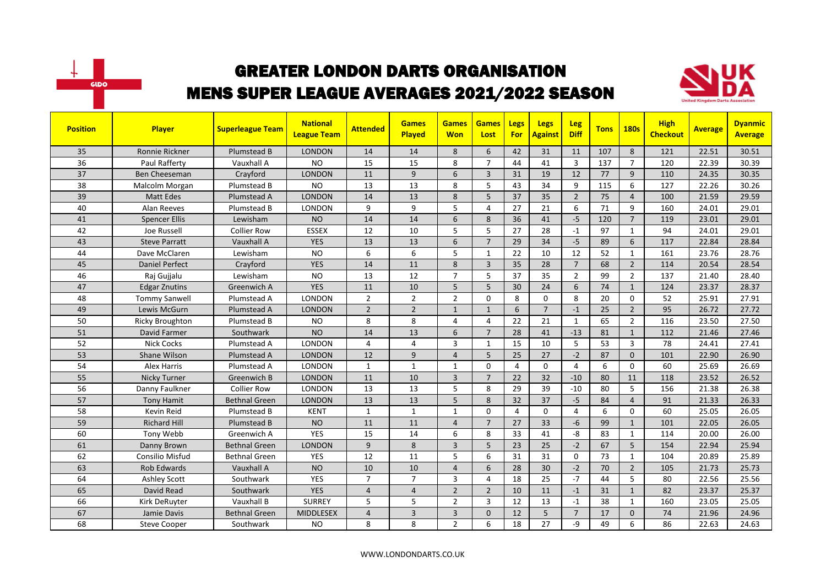



| <b>Position</b> | <b>Player</b>          | <b>Superleague Team</b> | <b>National</b><br><b>League Team</b> | <b>Attended</b> | <b>Games</b><br>Played | <b>Games</b><br><b>Won</b> | <b>Games</b><br>Lost | <b>Legs</b><br><b>For</b> | <b>Legs</b><br>Against | <b>Leg</b><br><b>Diff</b> | <b>Tons</b> | <b>180s</b>    | <b>High</b><br><b>Checkout</b> | <b>Average</b> | <b>Dyanmic</b><br><b>Average</b> |
|-----------------|------------------------|-------------------------|---------------------------------------|-----------------|------------------------|----------------------------|----------------------|---------------------------|------------------------|---------------------------|-------------|----------------|--------------------------------|----------------|----------------------------------|
| 35              | <b>Ronnie Rickner</b>  | Plumstead B             | <b>LONDON</b>                         | 14              | 14                     | 8                          | 6                    | 42                        | 31                     | 11                        | 107         | 8              | 121                            | 22.51          | 30.51                            |
| 36              | Paul Rafferty          | Vauxhall A              | <b>NO</b>                             | 15              | 15                     | 8                          | $\overline{7}$       | 44                        | 41                     | $\overline{3}$            | 137         | $\overline{7}$ | 120                            | 22.39          | 30.39                            |
| 37              | Ben Cheeseman          | Crayford                | <b>LONDON</b>                         | 11              | 9                      | 6                          | $\overline{3}$       | 31                        | 19                     | 12                        | 77          | 9              | 110                            | 24.35          | 30.35                            |
| 38              | Malcolm Morgan         | Plumstead B             | <b>NO</b>                             | 13              | 13                     | 8                          | 5                    | 43                        | 34                     | 9                         | 115         | 6              | 127                            | 22.26          | 30.26                            |
| 39              | <b>Matt Edes</b>       | Plumstead A             | <b>LONDON</b>                         | 14              | 13                     | 8                          | 5                    | 37                        | 35                     | $\overline{2}$            | 75          | $\overline{4}$ | 100                            | 21.59          | 29.59                            |
| 40              | Alan Reeves            | Plumstead B             | LONDON                                | 9               | 9                      | 5                          | 4                    | 27                        | 21                     | 6                         | 71          | 9              | 160                            | 24.01          | 29.01                            |
| 41              | <b>Spencer Ellis</b>   | Lewisham                | <b>NO</b>                             | 14              | 14                     | 6                          | 8                    | 36                        | 41                     | $-5$                      | 120         | $\overline{7}$ | 119                            | 23.01          | 29.01                            |
| 42              | Joe Russell            | <b>Collier Row</b>      | <b>ESSEX</b>                          | 12              | 10                     | 5                          | 5                    | 27                        | 28                     | $\mathbf{-1}$             | 97          | $\mathbf{1}$   | 94                             | 24.01          | 29.01                            |
| 43              | <b>Steve Parratt</b>   | Vauxhall A              | <b>YES</b>                            | 13              | 13                     | 6                          | $\overline{7}$       | 29                        | 34                     | $-5$                      | 89          | 6              | 117                            | 22.84          | 28.84                            |
| 44              | Dave McClaren          | Lewisham                | <b>NO</b>                             | 6               | 6                      | 5                          | $\mathbf{1}$         | 22                        | 10                     | 12                        | 52          | $\mathbf{1}$   | 161                            | 23.76          | 28.76                            |
| 45              | <b>Daniel Perfect</b>  | Crayford                | <b>YES</b>                            | 14              | 11                     | 8                          | 3                    | 35                        | 28                     | $\overline{7}$            | 68          | $\overline{2}$ | 114                            | 20.54          | 28.54                            |
| 46              | Raj Gujjalu            | Lewisham                | <b>NO</b>                             | 13              | 12                     | $\overline{7}$             | 5                    | 37                        | 35                     | $\overline{2}$            | 99          | $\overline{2}$ | 137                            | 21.40          | 28.40                            |
| 47              | <b>Edgar Znutins</b>   | Greenwich A             | <b>YES</b>                            | 11              | 10                     | 5                          | 5                    | 30                        | 24                     | 6                         | 74          | $\mathbf{1}$   | 124                            | 23.37          | 28.37                            |
| 48              | <b>Tommy Sanwell</b>   | Plumstead A             | <b>LONDON</b>                         | $\overline{2}$  | $\overline{2}$         | $\overline{2}$             | $\Omega$             | 8                         | $\Omega$               | 8                         | 20          | $\Omega$       | 52                             | 25.91          | 27.91                            |
| 49              | Lewis McGurn           | Plumstead A             | <b>LONDON</b>                         | $\overline{2}$  | $\overline{2}$         | $\mathbf{1}$               | $\mathbf{1}$         | 6                         | $\overline{7}$         | $-1$                      | 25          | $\overline{2}$ | 95                             | 26.72          | 27.72                            |
| 50              | <b>Ricky Broughton</b> | Plumstead B             | <b>NO</b>                             | 8               | 8                      | 4                          | $\overline{4}$       | 22                        | 21                     | $\mathbf{1}$              | 65          | $\overline{2}$ | 116                            | 23.50          | 27.50                            |
| 51              | David Farmer           | Southwark               | <b>NO</b>                             | 14              | 13                     | 6                          | $\overline{7}$       | 28                        | 41                     | $-13$                     | 81          | $\mathbf{1}$   | 112                            | 21.46          | 27.46                            |
| 52              | <b>Nick Cocks</b>      | Plumstead A             | <b>LONDON</b>                         | 4               | $\overline{4}$         | 3                          | $\mathbf{1}$         | 15                        | 10                     | 5                         | 53          | $\overline{3}$ | 78                             | 24.41          | 27.41                            |
| 53              | Shane Wilson           | Plumstead A             | <b>LONDON</b>                         | 12              | 9                      | $\overline{4}$             | 5                    | 25                        | 27                     | $-2$                      | 87          | $\mathbf{0}$   | 101                            | 22.90          | 26.90                            |
| 54              | Alex Harris            | Plumstead A             | <b>LONDON</b>                         | $\mathbf{1}$    | $\mathbf{1}$           | $\mathbf{1}$               | $\Omega$             | 4                         | 0                      | $\overline{4}$            | 6           | $\mathbf 0$    | 60                             | 25.69          | 26.69                            |
| 55              | Nicky Turner           | Greenwich B             | <b>LONDON</b>                         | 11              | 10                     | $\overline{3}$             | $\overline{7}$       | 22                        | 32                     | $-10$                     | 80          | 11             | 118                            | 23.52          | 26.52                            |
| 56              | Danny Faulkner         | <b>Collier Row</b>      | <b>LONDON</b>                         | 13              | 13                     | 5                          | 8                    | 29                        | 39                     | $-10$                     | 80          | 5              | 156                            | 21.38          | 26.38                            |
| 57              | <b>Tony Hamit</b>      | Bethnal Green           | <b>LONDON</b>                         | 13              | 13                     | 5                          | 8                    | 32                        | 37                     | $-5$                      | 84          | $\overline{4}$ | 91                             | 21.33          | 26.33                            |
| 58              | Kevin Reid             | Plumstead B             | <b>KENT</b>                           | $\mathbf{1}$    | $\mathbf{1}$           | 1                          | $\Omega$             | 4                         | 0                      | $\overline{4}$            | 6           | $\Omega$       | 60                             | 25.05          | 26.05                            |
| 59              | <b>Richard Hill</b>    | Plumstead B             | <b>NO</b>                             | 11              | 11                     | $\overline{4}$             | $\overline{7}$       | 27                        | 33                     | $-6$                      | 99          | $\mathbf{1}$   | 101                            | 22.05          | 26.05                            |
| 60              | Tony Webb              | Greenwich A             | <b>YES</b>                            | 15              | 14                     | 6                          | 8                    | 33                        | 41                     | $-8$                      | 83          | $\mathbf{1}$   | 114                            | 20.00          | 26.00                            |
| 61              | Danny Brown            | <b>Bethnal Green</b>    | <b>LONDON</b>                         | 9               | 8                      | 3                          | 5                    | 23                        | 25                     | $-2$                      | 67          | 5              | 154                            | 22.94          | 25.94                            |
| 62              | Consilio Misfud        | <b>Bethnal Green</b>    | <b>YES</b>                            | 12              | 11                     | 5                          | 6                    | 31                        | 31                     | $\mathbf 0$               | 73          | 1              | 104                            | 20.89          | 25.89                            |
| 63              | <b>Rob Edwards</b>     | Vauxhall A              | <b>NO</b>                             | 10              | 10                     | $\overline{4}$             | 6                    | 28                        | 30                     | $-2$                      | 70          | $\overline{2}$ | 105                            | 21.73          | 25.73                            |
| 64              | <b>Ashley Scott</b>    | Southwark               | <b>YES</b>                            | $\overline{7}$  | $\overline{7}$         | 3                          | 4                    | 18                        | 25                     | $-7$                      | 44          | 5              | 80                             | 22.56          | 25.56                            |
| 65              | David Read             | Southwark               | <b>YES</b>                            | $\overline{4}$  | $\overline{4}$         | $\overline{2}$             | $\overline{2}$       | 10                        | 11                     | $-1$                      | 31          | $\mathbf{1}$   | 82                             | 23.37          | 25.37                            |
| 66              | Kirk DeRuyter          | Vauxhall B              | <b>SURREY</b>                         | 5               | 5                      | $\overline{2}$             | 3                    | 12                        | 13                     | $-1$                      | 38          | 1              | 160                            | 23.05          | 25.05                            |
| 67              | Jamie Davis            | <b>Bethnal Green</b>    | <b>MIDDLESEX</b>                      | $\overline{4}$  | $\overline{3}$         | 3                          | $\Omega$             | 12                        | 5                      | $\overline{7}$            | 17          | $\mathbf 0$    | 74                             | 21.96          | 24.96                            |
| 68              | <b>Steve Cooper</b>    | Southwark               | <b>NO</b>                             | 8               | 8                      | $\overline{2}$             | 6                    | 18                        | 27                     | -9                        | 49          | 6              | 86                             | 22.63          | 24.63                            |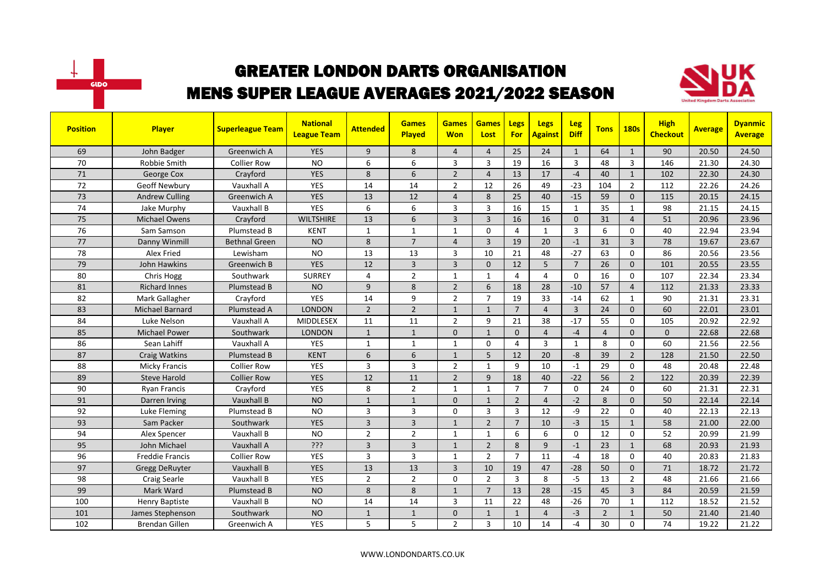



| <b>Position</b> | Player                 | <b>Superleague Team</b> | <b>National</b><br><b>League Team</b> | <b>Attended</b> | <b>Games</b><br>Played | <b>Games</b><br><b>Won</b> | <b>Games</b><br>Lost | Legs<br>For    | <b>Legs</b><br><b>Against</b> | Leg<br><b>Diff</b> | <b>Tons</b>    | <b>180s</b>    | <b>High</b><br><b>Checkout</b> | <b>Average</b> | <b>Dyanmic</b><br><b>Average</b> |
|-----------------|------------------------|-------------------------|---------------------------------------|-----------------|------------------------|----------------------------|----------------------|----------------|-------------------------------|--------------------|----------------|----------------|--------------------------------|----------------|----------------------------------|
| 69              | John Badger            | Greenwich A             | <b>YES</b>                            | 9               | 8                      | $\overline{4}$             | $\overline{4}$       | 25             | 24                            | $\mathbf{1}$       | 64             | $\mathbf{1}$   | 90                             | 20.50          | 24.50                            |
| 70              | Robbie Smith           | <b>Collier Row</b>      | <b>NO</b>                             | 6               | 6                      | 3                          | 3                    | 19             | 16                            | $\overline{3}$     | 48             | 3              | 146                            | 21.30          | 24.30                            |
| 71              | George Cox             | Crayford                | <b>YES</b>                            | 8               | 6                      | $\overline{2}$             | $\overline{4}$       | 13             | 17                            | $-4$               | 40             | $\mathbf{1}$   | 102                            | 22.30          | 24.30                            |
| 72              | Geoff Newbury          | Vauxhall A              | YES                                   | 14              | 14                     | $\overline{2}$             | 12                   | 26             | 49                            | $-23$              | 104            | $\overline{2}$ | 112                            | 22.26          | 24.26                            |
| 73              | <b>Andrew Culling</b>  | Greenwich A             | <b>YES</b>                            | 13              | 12                     | $\overline{4}$             | 8                    | 25             | 40                            | $-15$              | 59             | $\Omega$       | 115                            | 20.15          | 24.15                            |
| 74              | Jake Murphy            | Vauxhall B              | <b>YES</b>                            | 6               | 6                      | 3                          | $\overline{3}$       | 16             | 15                            | $\mathbf{1}$       | 35             | $\mathbf{1}$   | 98                             | 21.15          | 24.15                            |
| 75              | <b>Michael Owens</b>   | Crayford                | <b>WILTSHIRE</b>                      | 13              | 6                      | $\overline{3}$             | $\overline{3}$       | 16             | 16                            | $\mathbf{0}$       | 31             | $\overline{4}$ | 51                             | 20.96          | 23.96                            |
| 76              | Sam Samson             | Plumstead B             | <b>KENT</b>                           | $\mathbf{1}$    | $\mathbf{1}$           | 1                          | $\mathbf 0$          | 4              | $\mathbf{1}$                  | $\overline{3}$     | 6              | $\mathbf 0$    | 40                             | 22.94          | 23.94                            |
| 77              | Danny Winmill          | <b>Bethnal Green</b>    | <b>NO</b>                             | 8               | $\overline{7}$         | $\overline{4}$             | $\overline{3}$       | 19             | 20                            | $-1$               | 31             | $\overline{3}$ | 78                             | 19.67          | 23.67                            |
| 78              | Alex Fried             | Lewisham                | <b>NO</b>                             | 13              | 13                     | 3                          | 10                   | 21             | 48                            | $-27$              | 63             | $\mathbf{0}$   | 86                             | 20.56          | 23.56                            |
| 79              | John Hawkins           | Greenwich B             | <b>YES</b>                            | 12              | $\overline{3}$         | 3                          | $\mathbf{0}$         | 12             | 5                             | $\overline{7}$     | 26             | $\mathbf{0}$   | 101                            | 20.55          | 23.55                            |
| 80              | Chris Hogg             | Southwark               | <b>SURREY</b>                         | 4               | $\overline{2}$         | 1                          | $\mathbf{1}$         | 4              | 4                             | $\Omega$           | 16             | $\mathbf 0$    | 107                            | 22.34          | 23.34                            |
| 81              | <b>Richard Innes</b>   | Plumstead B             | <b>NO</b>                             | 9               | 8                      | $\overline{2}$             | 6                    | 18             | 28                            | $-10$              | 57             | $\overline{4}$ | 112                            | 21.33          | 23.33                            |
| 82              | Mark Gallagher         | Crayford                | <b>YES</b>                            | 14              | 9                      | $\overline{2}$             | $\overline{7}$       | 19             | 33                            | $-14$              | 62             | $\mathbf{1}$   | 90                             | 21.31          | 23.31                            |
| 83              | Michael Barnard        | Plumstead A             | <b>LONDON</b>                         | $\overline{2}$  | $\overline{2}$         | $\mathbf{1}$               | $\mathbf{1}$         | $\overline{7}$ | $\overline{4}$                | $\overline{3}$     | 24             | $\mathbf{0}$   | 60                             | 22.01          | 23.01                            |
| 84              | Luke Nelson            | Vauxhall A              | <b>MIDDLESEX</b>                      | 11              | 11                     | $\overline{2}$             | 9                    | 21             | 38                            | $-17$              | 55             | $\mathbf 0$    | 105                            | 20.92          | 22.92                            |
| 85              | <b>Michael Power</b>   | Southwark               | <b>LONDON</b>                         | $\mathbf{1}$    | $\mathbf{1}$           | $\Omega$                   | $\mathbf{1}$         | $\Omega$       | $\overline{4}$                | $-4$               | $\overline{4}$ | $\Omega$       | $\mathbf{0}$                   | 22.68          | 22.68                            |
| 86              | Sean Lahiff            | Vauxhall A              | YES                                   | $\mathbf{1}$    | $\mathbf{1}$           | 1                          | $\Omega$             | 4              | 3                             | $\mathbf{1}$       | 8              | $\mathbf 0$    | 60                             | 21.56          | 22.56                            |
| 87              | Craig Watkins          | Plumstead B             | <b>KENT</b>                           | 6               | 6                      | $\mathbf{1}$               | 5                    | 12             | 20                            | $-8$               | 39             | $\overline{2}$ | 128                            | 21.50          | 22.50                            |
| 88              | Micky Francis          | <b>Collier Row</b>      | YES                                   | 3               | $\overline{3}$         | $\overline{2}$             | $\mathbf{1}$         | 9              | 10                            | $-1$               | 29             | $\mathbf 0$    | 48                             | 20.48          | 22.48                            |
| 89              | <b>Steve Harold</b>    | Collier Row             | <b>YES</b>                            | 12              | 11                     | $\overline{2}$             | 9                    | 18             | 40                            | $-22$              | 56             | $\overline{2}$ | 122                            | 20.39          | 22.39                            |
| 90              | <b>Ryan Francis</b>    | Crayford                | <b>YES</b>                            | 8               | $\overline{2}$         | $\mathbf{1}$               | $\mathbf{1}$         | $\overline{7}$ | $\overline{7}$                | $\Omega$           | 24             | $\mathbf 0$    | 60                             | 21.31          | 22.31                            |
| 91              | Darren Irving          | Vauxhall B              | <b>NO</b>                             | $\mathbf{1}$    | $\mathbf{1}$           | 0                          | $\mathbf{1}$         | $\overline{2}$ | $\overline{4}$                | $-2$               | 8              | $\mathbf{0}$   | 50                             | 22.14          | 22.14                            |
| 92              | Luke Fleming           | Plumstead B             | <b>NO</b>                             | 3               | $\overline{3}$         | $\Omega$                   | 3                    | 3              | 12                            | -9                 | 22             | $\mathbf 0$    | 40                             | 22.13          | 22.13                            |
| 93              | Sam Packer             | Southwark               | <b>YES</b>                            | 3               | $\overline{3}$         | $\mathbf{1}$               | $\overline{2}$       | $\overline{7}$ | 10                            | $-3$               | 15             | $\mathbf{1}$   | 58                             | 21.00          | 22.00                            |
| 94              | Alex Spencer           | Vauxhall B              | <b>NO</b>                             | $\overline{2}$  | $\overline{2}$         | $\mathbf{1}$               | $\mathbf{1}$         | 6              | 6                             | $\Omega$           | 12             | $\mathbf{0}$   | 52                             | 20.99          | 21.99                            |
| 95              | John Michael           | Vauxhall A              | ???                                   | 3               | $\overline{3}$         | $\mathbf{1}$               | $\overline{2}$       | 8              | 9                             | $-1$               | 23             | $\mathbf{1}$   | 68                             | 20.93          | 21.93                            |
| 96              | <b>Freddie Francis</b> | <b>Collier Row</b>      | YES                                   | 3               | $\overline{3}$         | 1                          | $\overline{2}$       | $\overline{7}$ | 11                            | $-4$               | 18             | $\mathbf 0$    | 40                             | 20.83          | 21.83                            |
| 97              | <b>Gregg DeRuyter</b>  | Vauxhall B              | <b>YES</b>                            | 13              | 13                     | 3                          | 10                   | 19             | 47                            | $-28$              | 50             | $\mathbf{0}$   | 71                             | 18.72          | 21.72                            |
| 98              | <b>Craig Searle</b>    | Vauxhall B              | <b>YES</b>                            | $\overline{2}$  | $\overline{2}$         | $\Omega$                   | $\overline{2}$       | $\overline{3}$ | 8                             | $-5$               | 13             | $\overline{2}$ | 48                             | 21.66          | 21.66                            |
| 99              | Mark Ward              | Plumstead B             | <b>NO</b>                             | 8               | 8                      | $\mathbf{1}$               | $\overline{7}$       | 13             | 28                            | $-15$              | 45             | $\overline{3}$ | 84                             | 20.59          | 21.59                            |
| 100             | <b>Henry Baptiste</b>  | Vauxhall B              | <b>NO</b>                             | 14              | 14                     | 3                          | 11                   | 22             | 48                            | $-26$              | 70             | $\mathbf{1}$   | 112                            | 18.52          | 21.52                            |
| 101             | James Stephenson       | Southwark               | <b>NO</b>                             | $\mathbf{1}$    | $\mathbf{1}$           | 0                          | $\mathbf{1}$         | $\mathbf{1}$   | $\overline{4}$                | $-3$               | $\overline{2}$ | $\mathbf{1}$   | 50                             | 21.40          | 21.40                            |
| 102             | <b>Brendan Gillen</b>  | Greenwich A             | <b>YES</b>                            | 5               | 5                      | $\overline{2}$             | 3                    | 10             | 14                            | $-4$               | 30             | $\mathbf 0$    | 74                             | 19.22          | 21.22                            |